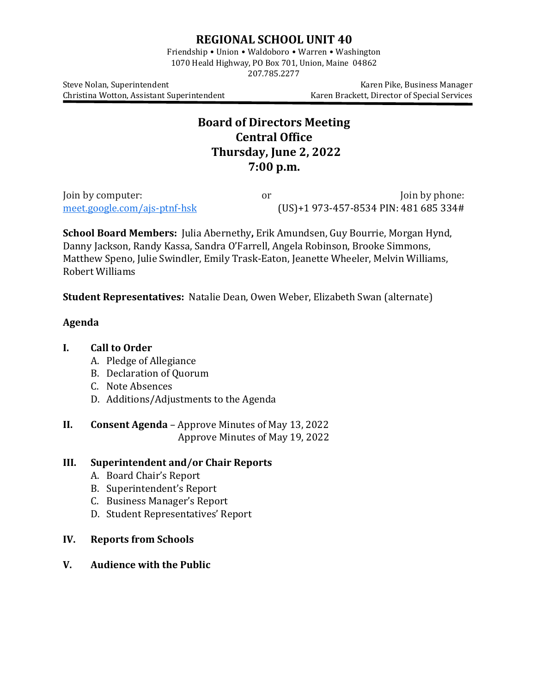## **REGIONAL SCHOOL UNIT 40**

Friendship • Union • Waldoboro • Warren • Washington 1070 Heald Highway, PO Box 701, Union, Maine 04862

207.785.2277

Christina Wotton, Assistant Superintendent

Steve Nolan, Superintendent<br>Christina Wotton, Assistant Superintendent (Karen Brackett, Director of Special Services

# **Board of Directors Meeting Central Office Thursday, June 2, 2022 7:00 p.m.**

Join by computer:  $\frac{1}{2}$  or  $\frac{1}{2}$  Join by phone:  $\frac{1}{2}$  or  $\frac{1}{2}$  Join by phone:  $\frac{1}{2}$  Join by phone:  $\frac{1}{2}$  Join by phone:  $\frac{1}{2}$  Join by phone:  $\frac{1}{2}$  Join by phone:  $\frac{1}{2}$  Join by phone:  $\frac$  $(US)+1$  [973-457-8534](tel:%E2%80%AA+1%20973-457-8534%E2%80%AC) PIN: 481 685 334#

**School Board Members:** Julia Abernethy**,** Erik Amundsen, Guy Bourrie, Morgan Hynd, Danny Jackson, Randy Kassa, Sandra O'Farrell, Angela Robinson, Brooke Simmons, Matthew Speno, Julie Swindler, Emily Trask-Eaton, Jeanette Wheeler, Melvin Williams, Robert Williams

**Student Representatives:** Natalie Dean, Owen Weber, Elizabeth Swan (alternate)

#### **Agenda**

### **I. Call to Order**

- A. Pledge of Allegiance
- B. Declaration of Quorum
- C. Note Absences
- D. Additions/Adjustments to the Agenda
- **II. Consent Agenda** Approve Minutes of May 13, 2022 Approve Minutes of May 19, 2022

#### **III. Superintendent and/or Chair Reports**

- A. Board Chair's Report
- B. Superintendent's Report
- C. Business Manager's Report
- D. Student Representatives' Report
- **IV. Reports from Schools**
- **V. Audience with the Public**